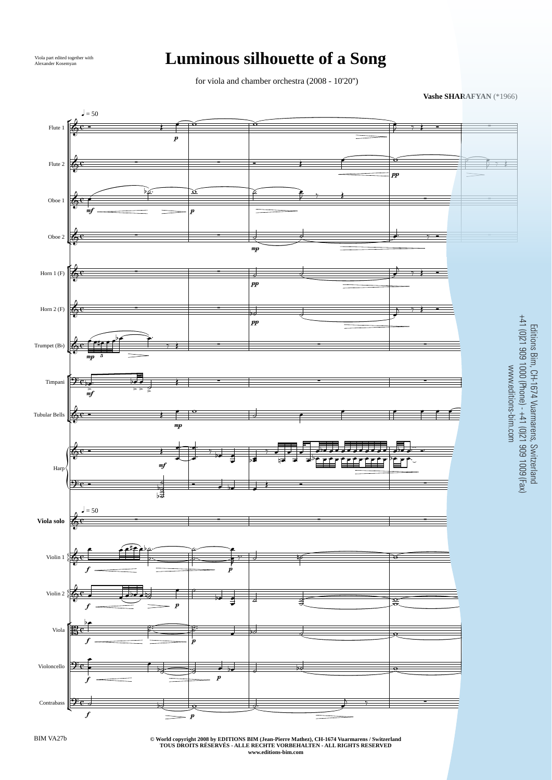Viola part edited together with Alexander Kosemyan

## **Luminous silhouette of a Song**

for viola and chamber orchestra (2008 - 10'20'')

**Vashe SHARAFYAN** (\*1966)

Editions Bim, CH-1674 Vuarmarens, Switzerland



**© World copyright 2008 by EDITIONS BIM (Jean-Pierre Mathez), CH-1674 Vuarmarens / Switzerland TOUS DROITS RÉSERVÉS - ALLE RECHTE VORBEHALTEN - ALL RIGHTS RESERVED** BIM VA27b 3 **www.editions-bim.com**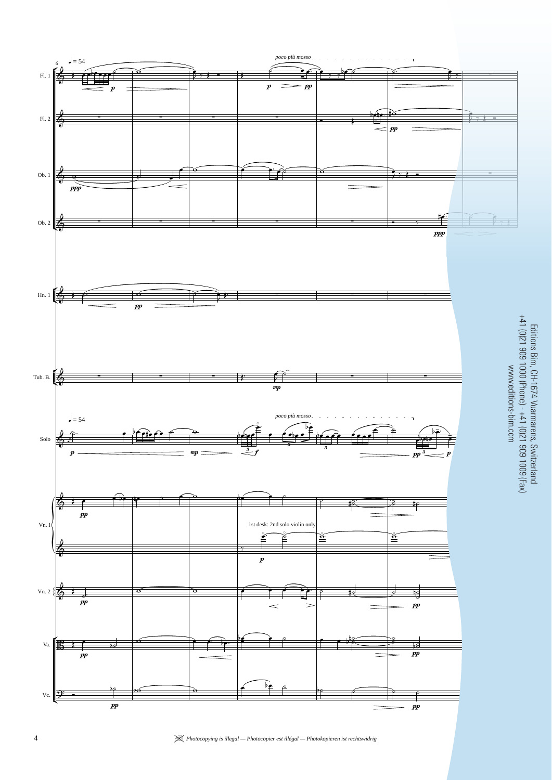

4 | *Photocopying is illegal — Photocopier est illégal — Photokopieren ist rechtswidrig* BIM VA27b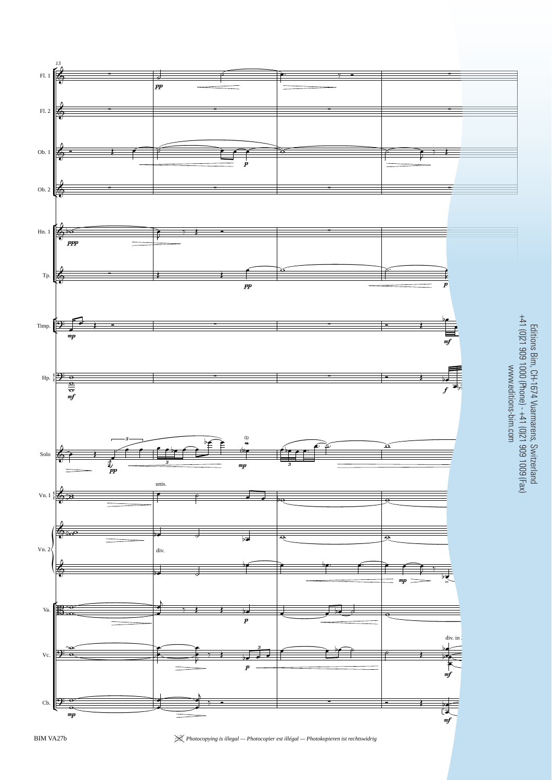

Editions Bim, CH-1674 Vuarmarens, Switzerland +41 (0)21 909 1000 (Phone) - +41 (0)21 909 1009 (Fax)

BIM VA27b | *Photocopying is illegal — Photocopier est illégal — Photokopieren ist rechtswidrig* 5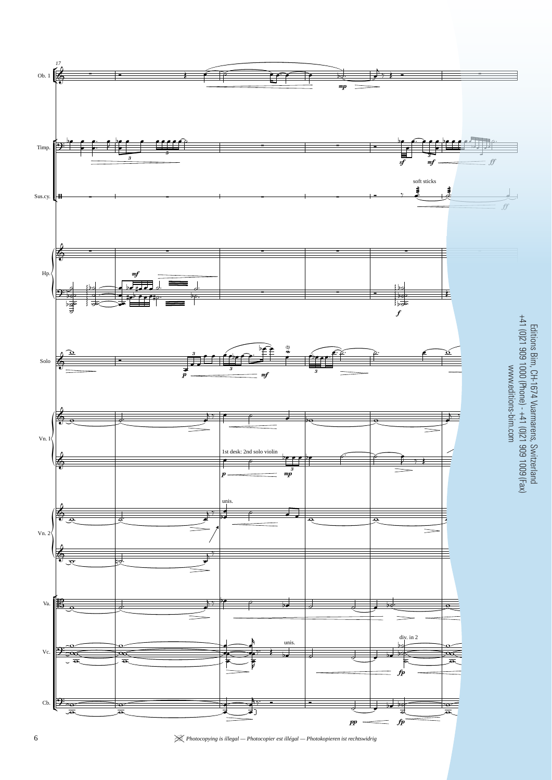

6 | *Photocopying is illegal — Photocopier est illégal — Photokopieren ist rechtswidrig* BIM VA27b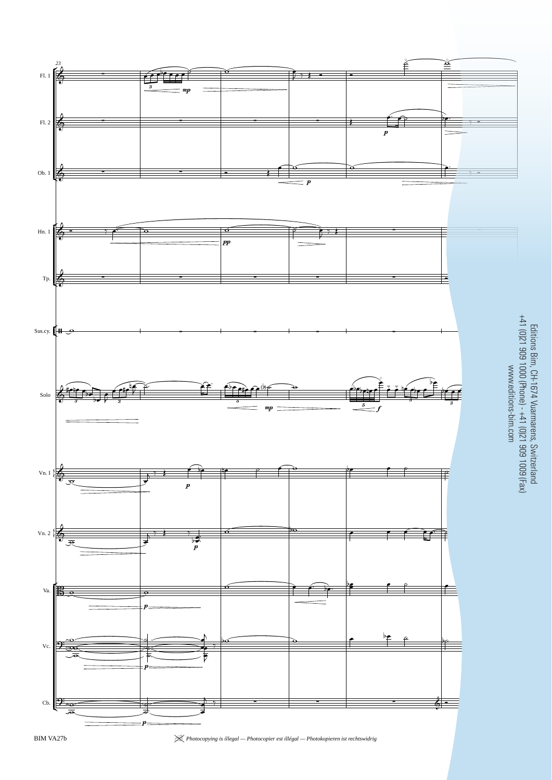

BIM VA27b | *Photocopying is illegal — Photocopier est illégal — Photokopieren ist rechtswidrig* 7

Editions Bim, CH-1674 Vuarmarens, Switzerland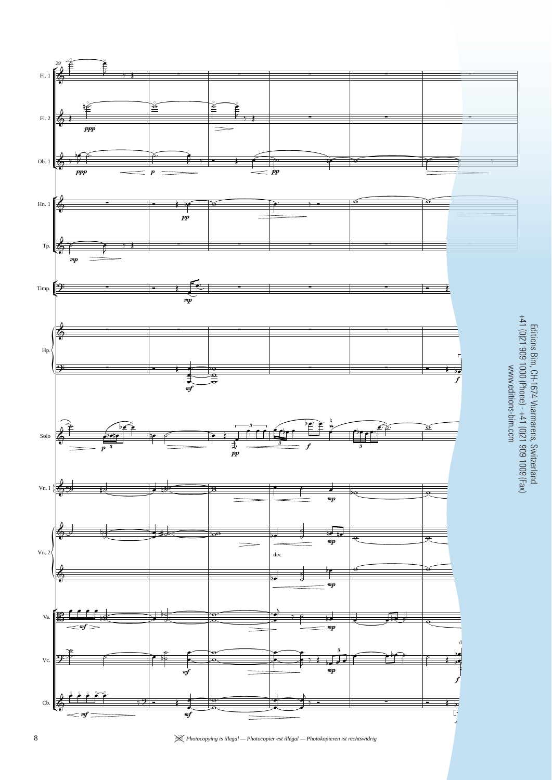

Editions Bim, CH-1674 Vuarmarens, Switzerland

8 *Photocopying is illegal — Photocopier est illégal — Photokopieren ist rechtswidrig*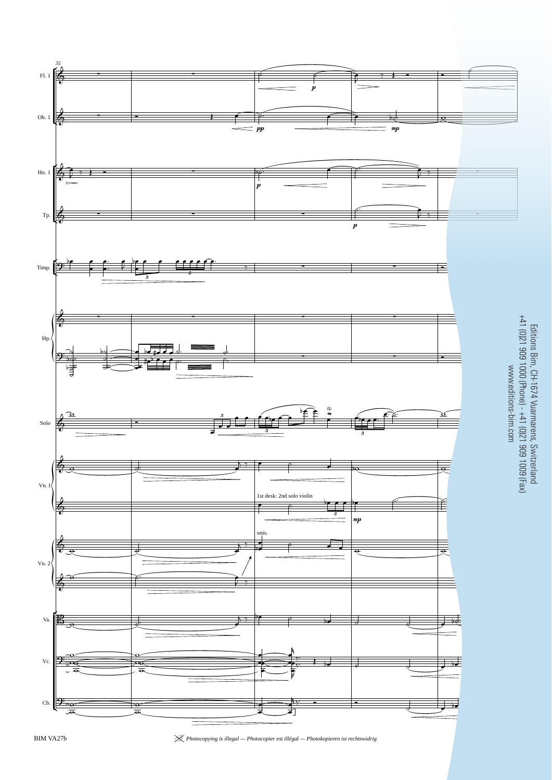

BIM VA27b | *Photocopying is illegal — Photocopier est illégal — Photokopieren ist rechtswidrig* 9

Editions Bim, CH-1674 Vuarmarens, Switzerland<br>+41 (0)21 909 1000 (Phone) - +41 (0)21 909 1009 (Fax)<br>www.editions-bim.com +41 (0)21 909 1000 (Phone) - +41 (0)21 909 1009 (Fax) Editions Bim, CH-1674 Vuarmarens, Switzerland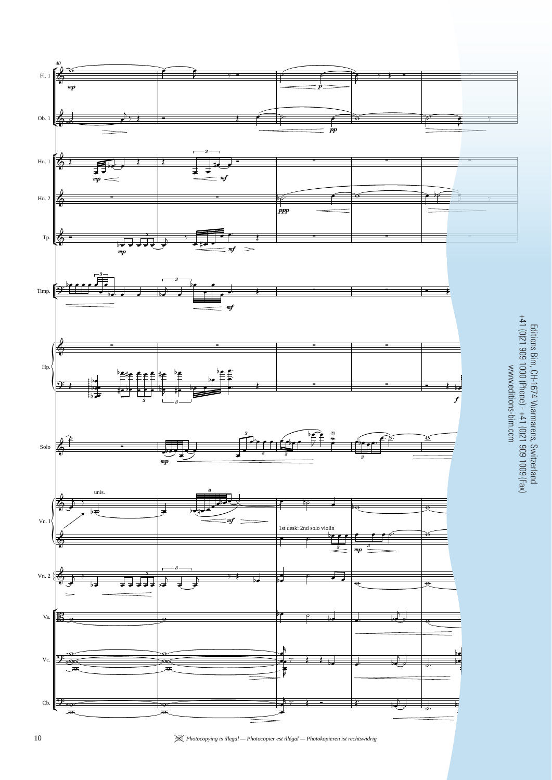

Editions Bim, CH-1674 Vuarmarens, Switzerland<br>+41 (0)21 909 1000 (Phone) - +41 (0)21 909 1009 (Fax)<br>www.editions-bim.com Editions Bim, CH-1674 Vuarmarens, Switzerland +41 (0)21 909 1000 (Phone) - +41 (0)21 909 1009 (Fax)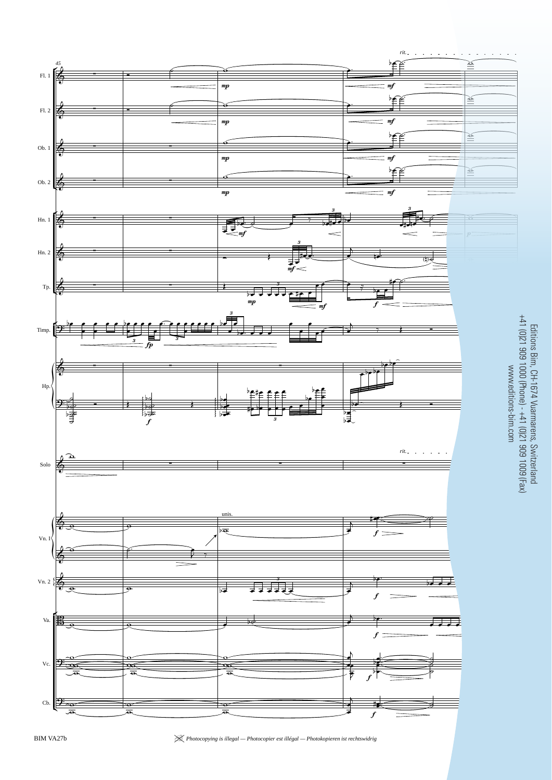

Editions Bim, CH-1674 Vuarmarens, Switzerland<br>+41 (0)21 909 1000 (Phone) - +41 (0)21 909 1009 (Fax)<br>www.editions-bim.com Editions Bim, CH-1674 Vuarmarens, Switzerland +41 (0)21 909 1000 (Phone) - +41 (0)21 909 1009 (Fax)

BIM VA27b | *Photocopying is illegal — Photocopier est illégal — Photokopieren ist rechtswidrig* 11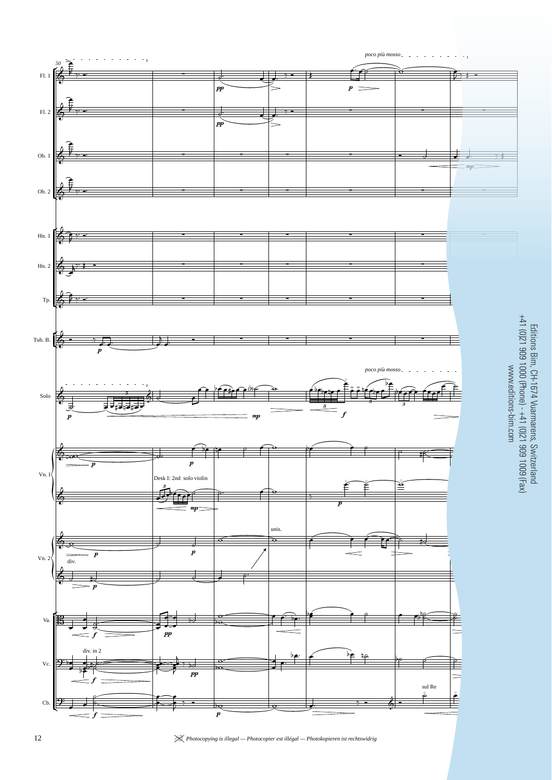

Editions Bim, CH-1674 Vuarmarens, Switzerland<br>+41 (0)21 909 1000 (Phone) - +41 (0)21 909 1009 (Fax)<br>www.editions-bim.com Editions Bim, CH-1674 Vuarmarens, Switzerland +41 (0)21 909 1000 (Phone) - +41 (0)21 909 1009 (Fax)

12 | *Photocopying is illegal — Photocopier est illégal — Photokopieren ist rechtswidrig* BIM VA27b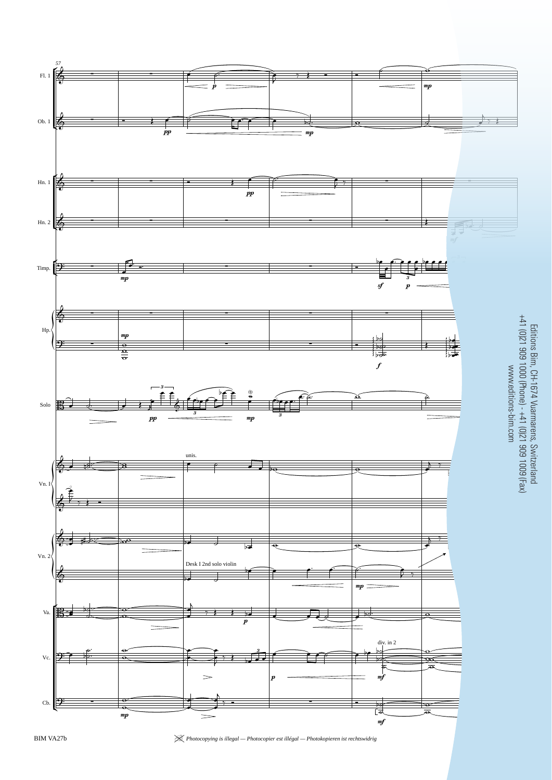

Editions Bim, CH-1674 Vuarmarens, Switzerland +41 (0)21 909 1000 (Phone) - +41 (0)21 909 1009 (Fax)

BIM VA27b | *Photocopying is illegal — Photocopier est illégal — Photokopieren ist rechtswidrig* 13